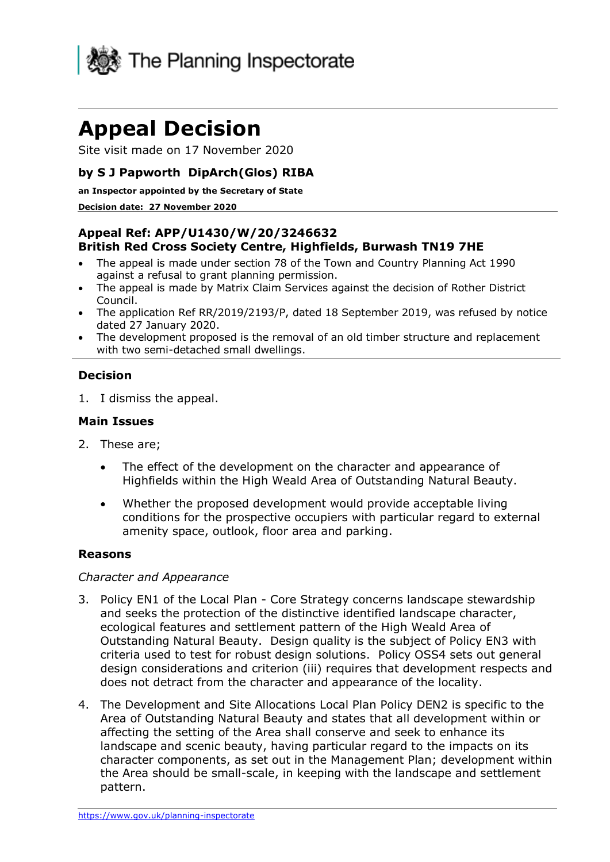

# **Appeal Decision**

Site visit made on 17 November 2020

# **by S J Papworth DipArch(Glos) RIBA**

#### **an Inspector appointed by the Secretary of State**

#### **Decision date: 27 November 2020**

## **Appeal Ref: APP/U1430/W/20/3246632 British Red Cross Society Centre, Highfields, Burwash TN19 7HE**

- The appeal is made under section 78 of the Town and Country Planning Act 1990 against a refusal to grant planning permission.
- The appeal is made by Matrix Claim Services against the decision of Rother District Council.
- The application Ref RR/2019/2193/P, dated 18 September 2019, was refused by notice dated 27 January 2020.
- The development proposed is the removal of an old timber structure and replacement with two semi-detached small dwellings.

### **Decision**

1. I dismiss the appeal.

### **Main Issues**

- 2. These are;
	- The effect of the development on the character and appearance of Highfields within the High Weald Area of Outstanding Natural Beauty.
	- Whether the proposed development would provide acceptable living conditions for the prospective occupiers with particular regard to external amenity space, outlook, floor area and parking.

### **Reasons**

#### *Character and Appearance*

- 3. Policy EN1 of the Local Plan Core Strategy concerns landscape stewardship and seeks the protection of the distinctive identified landscape character, ecological features and settlement pattern of the High Weald Area of Outstanding Natural Beauty. Design quality is the subject of Policy EN3 with criteria used to test for robust design solutions. Policy OSS4 sets out general design considerations and criterion (iii) requires that development respects and does not detract from the character and appearance of the locality.
- 4. The Development and Site Allocations Local Plan Policy DEN2 is specific to the Area of Outstanding Natural Beauty and states that all development within or affecting the setting of the Area shall conserve and seek to enhance its landscape and scenic beauty, having particular regard to the impacts on its character components, as set out in the Management Plan; development within the Area should be small-scale, in keeping with the landscape and settlement pattern.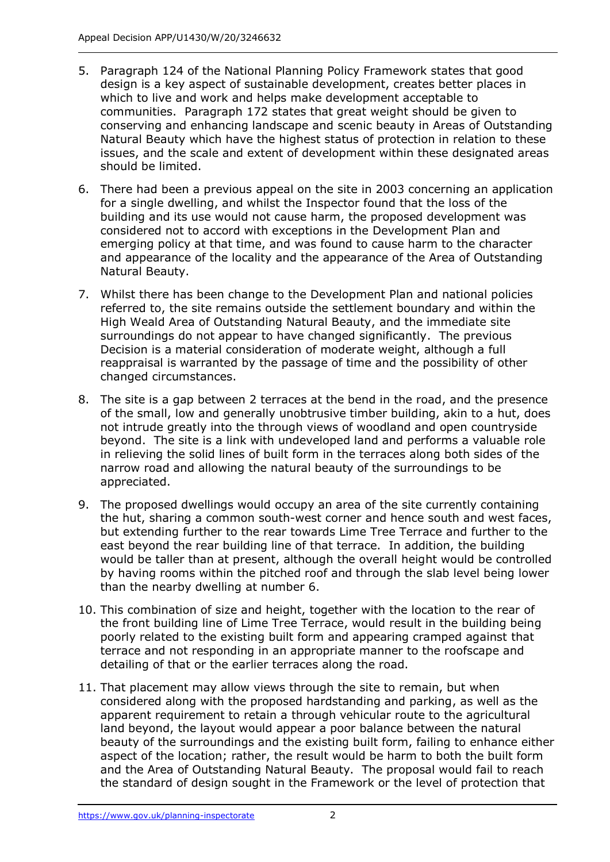- 5. Paragraph 124 of the National Planning Policy Framework states that good design is a key aspect of sustainable development, creates better places in which to live and work and helps make development acceptable to communities. Paragraph 172 states that great weight should be given to conserving and enhancing landscape and scenic beauty in Areas of Outstanding Natural Beauty which have the highest status of protection in relation to these issues, and the scale and extent of development within these designated areas should be limited.
- 6. There had been a previous appeal on the site in 2003 concerning an application for a single dwelling, and whilst the Inspector found that the loss of the building and its use would not cause harm, the proposed development was considered not to accord with exceptions in the Development Plan and emerging policy at that time, and was found to cause harm to the character and appearance of the locality and the appearance of the Area of Outstanding Natural Beauty.
- 7. Whilst there has been change to the Development Plan and national policies referred to, the site remains outside the settlement boundary and within the High Weald Area of Outstanding Natural Beauty, and the immediate site surroundings do not appear to have changed significantly. The previous Decision is a material consideration of moderate weight, although a full reappraisal is warranted by the passage of time and the possibility of other changed circumstances.
- 8. The site is a gap between 2 terraces at the bend in the road, and the presence of the small, low and generally unobtrusive timber building, akin to a hut, does not intrude greatly into the through views of woodland and open countryside beyond. The site is a link with undeveloped land and performs a valuable role in relieving the solid lines of built form in the terraces along both sides of the narrow road and allowing the natural beauty of the surroundings to be appreciated.
- 9. The proposed dwellings would occupy an area of the site currently containing the hut, sharing a common south-west corner and hence south and west faces, but extending further to the rear towards Lime Tree Terrace and further to the east beyond the rear building line of that terrace. In addition, the building would be taller than at present, although the overall height would be controlled by having rooms within the pitched roof and through the slab level being lower than the nearby dwelling at number 6.
- 10. This combination of size and height, together with the location to the rear of the front building line of Lime Tree Terrace, would result in the building being poorly related to the existing built form and appearing cramped against that terrace and not responding in an appropriate manner to the roofscape and detailing of that or the earlier terraces along the road.
- 11. That placement may allow views through the site to remain, but when considered along with the proposed hardstanding and parking, as well as the apparent requirement to retain a through vehicular route to the agricultural land beyond, the layout would appear a poor balance between the natural beauty of the surroundings and the existing built form, failing to enhance either aspect of the location; rather, the result would be harm to both the built form and the Area of Outstanding Natural Beauty. The proposal would fail to reach the standard of design sought in the Framework or the level of protection that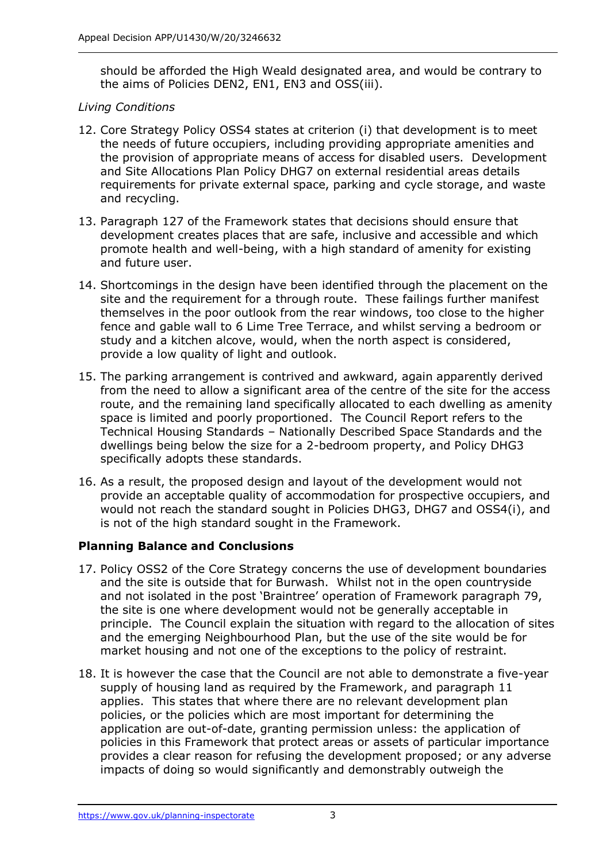should be afforded the High Weald designated area, and would be contrary to the aims of Policies DEN2, EN1, EN3 and OSS(iii).

## *Living Conditions*

- 12. Core Strategy Policy OSS4 states at criterion (i) that development is to meet the needs of future occupiers, including providing appropriate amenities and the provision of appropriate means of access for disabled users. Development and Site Allocations Plan Policy DHG7 on external residential areas details requirements for private external space, parking and cycle storage, and waste and recycling.
- 13. Paragraph 127 of the Framework states that decisions should ensure that development creates places that are safe, inclusive and accessible and which promote health and well-being, with a high standard of amenity for existing and future user.
- 14. Shortcomings in the design have been identified through the placement on the site and the requirement for a through route. These failings further manifest themselves in the poor outlook from the rear windows, too close to the higher fence and gable wall to 6 Lime Tree Terrace, and whilst serving a bedroom or study and a kitchen alcove, would, when the north aspect is considered, provide a low quality of light and outlook.
- 15. The parking arrangement is contrived and awkward, again apparently derived from the need to allow a significant area of the centre of the site for the access route, and the remaining land specifically allocated to each dwelling as amenity space is limited and poorly proportioned. The Council Report refers to the Technical Housing Standards – Nationally Described Space Standards and the dwellings being below the size for a 2-bedroom property, and Policy DHG3 specifically adopts these standards.
- 16. As a result, the proposed design and layout of the development would not provide an acceptable quality of accommodation for prospective occupiers, and would not reach the standard sought in Policies DHG3, DHG7 and OSS4(i), and is not of the high standard sought in the Framework.

## **Planning Balance and Conclusions**

- 17. Policy OSS2 of the Core Strategy concerns the use of development boundaries and the site is outside that for Burwash. Whilst not in the open countryside and not isolated in the post 'Braintree' operation of Framework paragraph 79, the site is one where development would not be generally acceptable in principle. The Council explain the situation with regard to the allocation of sites and the emerging Neighbourhood Plan, but the use of the site would be for market housing and not one of the exceptions to the policy of restraint.
- 18. It is however the case that the Council are not able to demonstrate a five-year supply of housing land as required by the Framework, and paragraph 11 applies. This states that where there are no relevant development plan policies, or the policies which are most important for determining the application are out-of-date, granting permission unless: the application of policies in this Framework that protect areas or assets of particular importance provides a clear reason for refusing the development proposed; or any adverse impacts of doing so would significantly and demonstrably outweigh the